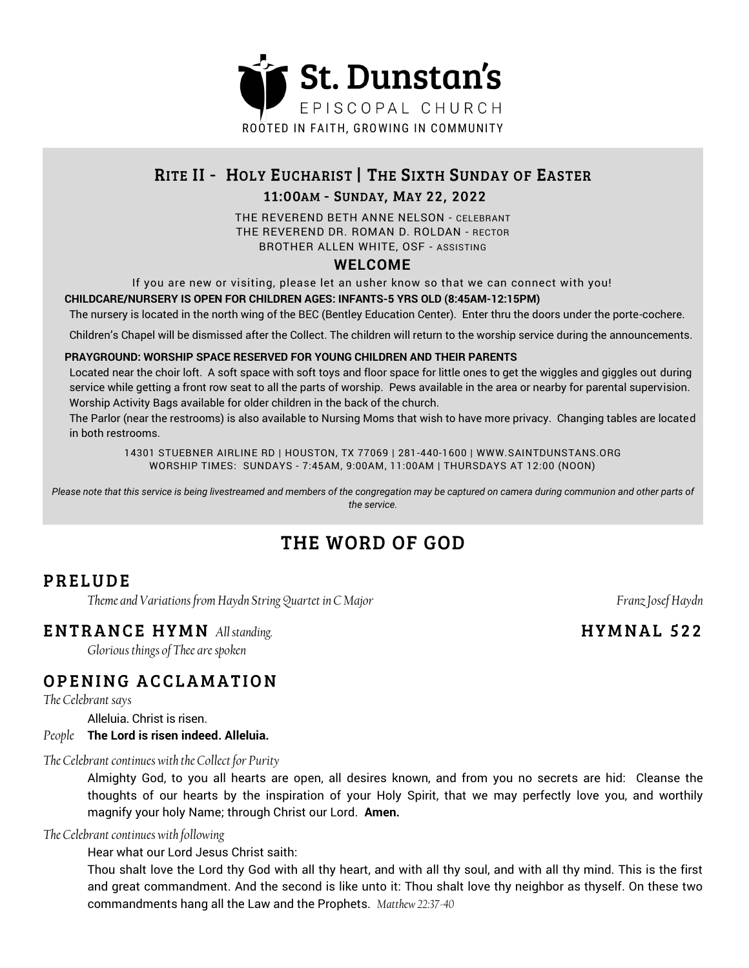

# RITE II - HOLY EUCHARIST | THE SIXTH SUNDAY OF EASTER

### 11:00AM - SUNDAY, MAY 22, 2022

THE REVEREND BETH ANNE NELSON - CELEBRANT THE REVEREND DR. ROMAN D. ROLDAN - RECTOR BROTHER ALLEN WHITE, OSF - ASSISTING

### **WELCOME**

If you are new or visiting, please let an usher know so that we can connect with you!

**CHILDCARE/NURSERY IS OPEN FOR CHILDREN AGES: INFANTS-5 YRS OLD (8:45AM-12:15PM)**

The nursery is located in the north wing of the BEC (Bentley Education Center). Enter thru the doors under the porte-cochere.

Children's Chapel will be dismissed after the Collect. The children will return to the worship service during the announcements.

#### **PRAYGROUND: WORSHIP SPACE RESERVED FOR YOUNG CHILDREN AND THEIR PARENTS**

Located near the choir loft. A soft space with soft toys and floor space for little ones to get the wiggles and giggles out during service while getting a front row seat to all the parts of worship. Pews available in the area or nearby for parental supervision. Worship Activity Bags available for older children in the back of the church.

The Parlor (near the restrooms) is also available to Nursing Moms that wish to have more privacy. Changing tables are located in both restrooms.

14301 STUEBNER AIRLINE RD | HOUSTON, TX 77069 | 281-440-1600 | WWW.SAINTDUNSTANS.ORG WORSHIP TIMES: SUNDAYS - 7:45AM, 9:00AM, 11:00AM | THURSDAYS AT 12:00 (NOON)

Please note that this service is being livestreamed and members of the congregation may be captured on camera during communion and other parts of *the service.*

# THE WORD OF GOD

# **PRELUDE**

*Theme and Variations from Haydn String Quartet in C Major Franz Josef Haydn Franz Josef Haydn* 

### **ENTRANCE HYMN** All standing.

*Glorious things of Thee are spoken* 

# OPENING ACCLAMATION

*The Celebrant says*

Alleluia. Christ is risen.

### *People* **The Lord is risen indeed. Alleluia.**

### *The Celebrant continues with the Collect for Purity*

Almighty God, to you all hearts are open, all desires known, and from you no secrets are hid: Cleanse the thoughts of our hearts by the inspiration of your Holy Spirit, that we may perfectly love you, and worthily magnify your holy Name; through Christ our Lord. **Amen.**

### *The Celebrant continues with following*

Hear what our Lord Jesus Christ saith:

Thou shalt love the Lord thy God with all thy heart, and with all thy soul, and with all thy mind. This is the first and great commandment. And the second is like unto it: Thou shalt love thy neighbor as thyself. On these two commandments hang all the Law and the Prophets. *Matthew 22:37-40*

# **HYMNAL 522**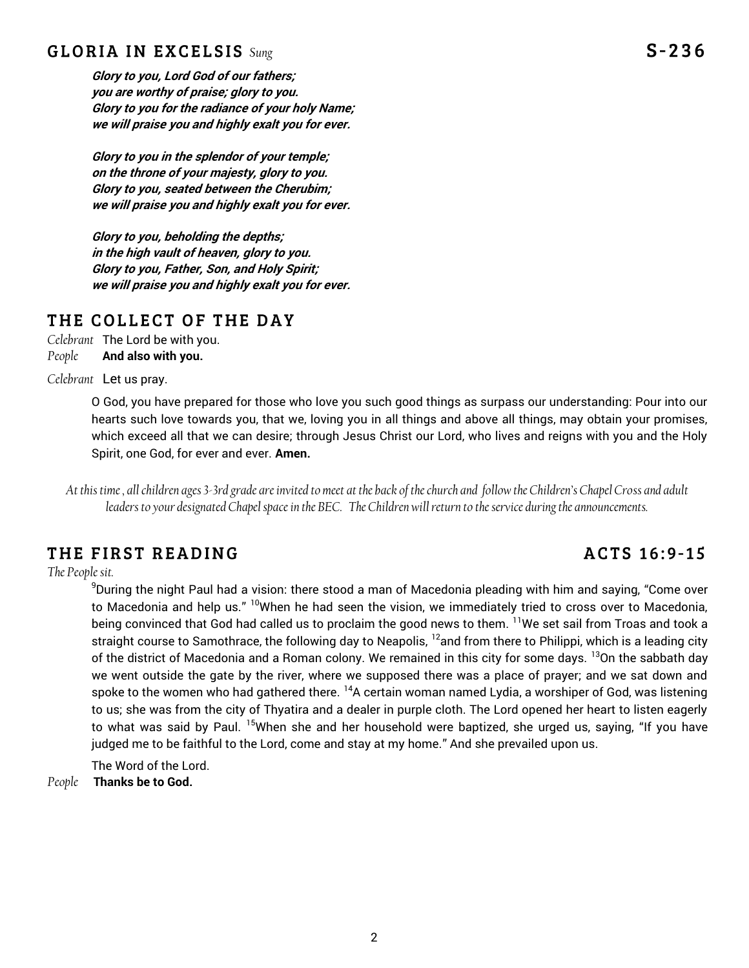### **GLORIA IN EXCELSIS** Sung

**Glory to you, Lord God of our fathers; you are worthy of praise; glory to you. Glory to you for the radiance of your holy Name; we will praise you and highly exalt you for ever.**

**Glory to you in the splendor of your temple; on the throne of your majesty, glory to you. Glory to you, seated between the Cherubim; we will praise you and highly exalt you for ever.**

**Glory to you, beholding the depths; in the high vault of heaven, glory to you. Glory to you, Father, Son, and Holy Spirit; we will praise you and highly exalt you for ever.**

### THE COLLECT OF THE DAY

*Celebrant* The Lord be with you. *People* **And also with you.**

*Celebrant* Let us pray.

O God, you have prepared for those who love you such good things as surpass our understanding: Pour into our hearts such love towards you, that we, loving you in all things and above all things, may obtain your promises, which exceed all that we can desire; through Jesus Christ our Lord, who lives and reigns with you and the Holy Spirit, one God, for ever and ever. **Amen.** 

*At this time , all children ages 3-3rd grade are invited to meet at the back of the church and follow the Children's Chapel Cross and adult leaders to your designated Chapel space in the BEC. The Children will return to the service during the announcements.* 

# THE FIRST READING

*The People sit.* 

<sup>9</sup>During the night Paul had a vision: there stood a man of Macedonia pleading with him and saying, "Come over to Macedonia and help us." <sup>10</sup>When he had seen the vision, we immediately tried to cross over to Macedonia, being convinced that God had called us to proclaim the good news to them. <sup>11</sup>We set sail from Troas and took a straight course to Samothrace, the following day to Neapolis,  $12$  and from there to Philippi, which is a leading city of the district of Macedonia and a Roman colony. We remained in this city for some days. <sup>13</sup>On the sabbath day we went outside the gate by the river, where we supposed there was a place of prayer; and we sat down and spoke to the women who had gathered there.  $^{14}$ A certain woman named Lydia, a worshiper of God, was listening to us; she was from the city of Thyatira and a dealer in purple cloth. The Lord opened her heart to listen eagerly to what was said by Paul. <sup>15</sup>When she and her household were baptized, she urged us, saying, "If you have judged me to be faithful to the Lord, come and stay at my home." And she prevailed upon us.

The Word of the Lord.

*People* **Thanks be to God.**

# ACTS 16:9-15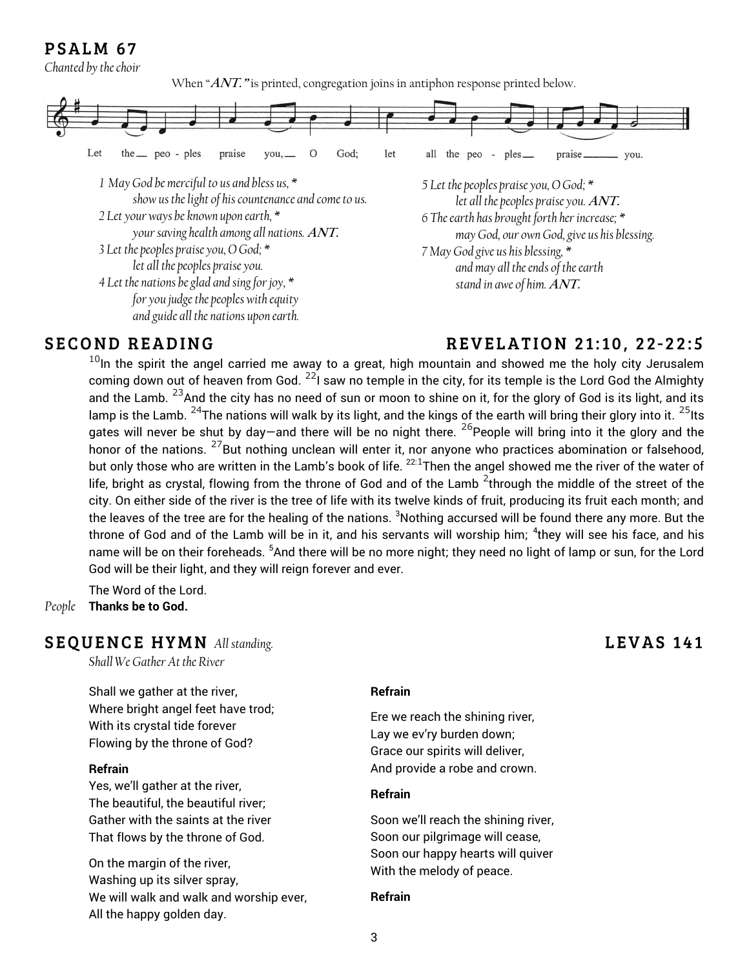# PSALM 67

*Chanted by the choir*

When "ANT." is printed, congregation joins in antiphon response printed below.



# **SECOND READING**

### **REVELATION 21:10, 22-22:5**

 $10$ In the spirit the angel carried me away to a great, high mountain and showed me the holy city Jerusalem coming down out of heaven from God.  $^{22}$ I saw no temple in the city, for its temple is the Lord God the Almighty and the Lamb.  $^{23}$ And the city has no need of sun or moon to shine on it, for the glory of God is its light, and its lamp is the Lamb. <sup>24</sup>The nations will walk by its light, and the kings of the earth will bring their glory into it.  $25$ Its gates will never be shut by day—and there will be no night there.  $^{26}$ People will bring into it the glory and the honor of the nations. <sup>27</sup>But nothing unclean will enter it, nor anyone who practices abomination or falsehood, but only those who are written in the Lamb's book of life.  $^{22:1}$ Then the angel showed me the river of the water of life, bright as crystal, flowing from the throne of God and of the Lamb  $^2$ through the middle of the street of the city. On either side of the river is the tree of life with its twelve kinds of fruit, producing its fruit each month; and the leaves of the tree are for the healing of the nations. <sup>3</sup>Nothing accursed will be found there any more. But the throne of God and of the Lamb will be in it, and his servants will worship him; <sup>4</sup>they will see his face, and his name will be on their foreheads. <sup>5</sup>And there will be no more night; they need no light of lamp or sun, for the Lord God will be their light, and they will reign forever and ever.

The Word of the Lord.

*People* **Thanks be to God.**

### **SEQUENCE HYMN** All standing.

*Shall We Gather At the River*

Shall we gather at the river, Where bright angel feet have trod; With its crystal tide forever Flowing by the throne of God?

#### **Refrain**

Yes, we'll gather at the river, The beautiful, the beautiful river; Gather with the saints at the river That flows by the throne of God.

On the margin of the river, Washing up its silver spray, We will walk and walk and worship ever, All the happy golden day.

#### **Refrain**

Ere we reach the shining river, Lay we ev'ry burden down; Grace our spirits will deliver, And provide a robe and crown.

#### **Refrain**

Soon we'll reach the shining river, Soon our pilgrimage will cease, Soon our happy hearts will quiver With the melody of peace.

#### **Refrain**

# LEVAS 141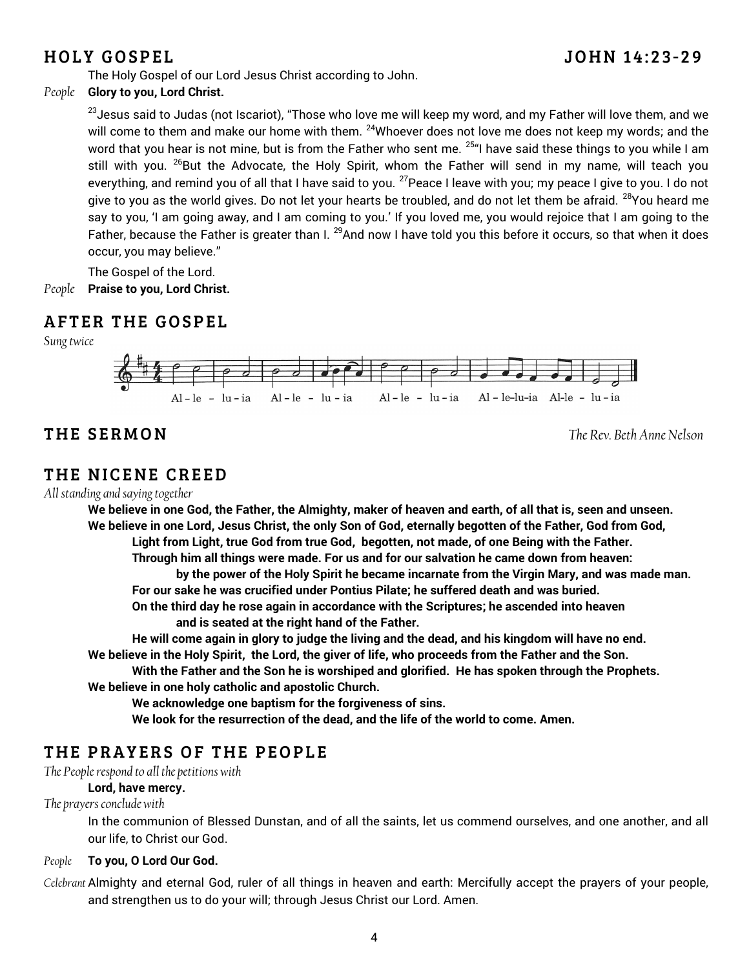# **HOLY GOSPEL**

The Holy Gospel of our Lord Jesus Christ according to John.

### *People* **Glory to you, Lord Christ.**

<sup>23</sup> Jesus said to Judas (not Iscariot), "Those who love me will keep my word, and my Father will love them, and we will come to them and make our home with them. <sup>24</sup>Whoever does not love me does not keep my words; and the word that you hear is not mine, but is from the Father who sent me. <sup>25</sup>"I have said these things to you while I am still with you. <sup>26</sup>But the Advocate, the Holy Spirit, whom the Father will send in my name, will teach you everything, and remind you of all that I have said to you. <sup>27</sup> Peace I leave with you; my peace I give to you. I do not give to you as the world gives. Do not let your hearts be troubled, and do not let them be afraid. <sup>28</sup>You heard me say to you, 'I am going away, and I am coming to you.' If you loved me, you would rejoice that I am going to the Father, because the Father is greater than I. <sup>29</sup>And now I have told you this before it occurs, so that when it does occur, you may believe."

The Gospel of the Lord. *People* **Praise to you, Lord Christ.**

# **AFTER THE GOSPEL**

*Sung twice*



# THE SERMON

*The Rev. Beth Anne Nelson*

# THE NICENE CREED

*All standing and saying together*

**We believe in one God, the Father, the Almighty, maker of heaven and earth, of all that is, seen and unseen. We believe in one Lord, Jesus Christ, the only Son of God, eternally begotten of the Father, God from God, Light from Light, true God from true God, begotten, not made, of one Being with the Father. Through him all things were made. For us and for our salvation he came down from heaven:** 

**by the power of the Holy Spirit he became incarnate from the Virgin Mary, and was made man. For our sake he was crucified under Pontius Pilate; he suffered death and was buried.** 

**On the third day he rose again in accordance with the Scriptures; he ascended into heaven and is seated at the right hand of the Father.** 

**He will come again in glory to judge the living and the dead, and his kingdom will have no end. We believe in the Holy Spirit, the Lord, the giver of life, who proceeds from the Father and the Son.** 

**With the Father and the Son he is worshiped and glorified. He has spoken through the Prophets. We believe in one holy catholic and apostolic Church.** 

**We acknowledge one baptism for the forgiveness of sins.** 

**We look for the resurrection of the dead, and the life of the world to come. Amen.** 

# THE PRAYERS OF THE PEOPLE

*The People respond to all the petitions with* 

#### **Lord, have mercy.**

*The prayers conclude with* 

In the communion of Blessed Dunstan, and of all the saints, let us commend ourselves, and one another, and all our life, to Christ our God.

#### *People* **To you, O Lord Our God.**

*Celebrant* Almighty and eternal God, ruler of all things in heaven and earth: Mercifully accept the prayers of your people, and strengthen us to do your will; through Jesus Christ our Lord. Amen.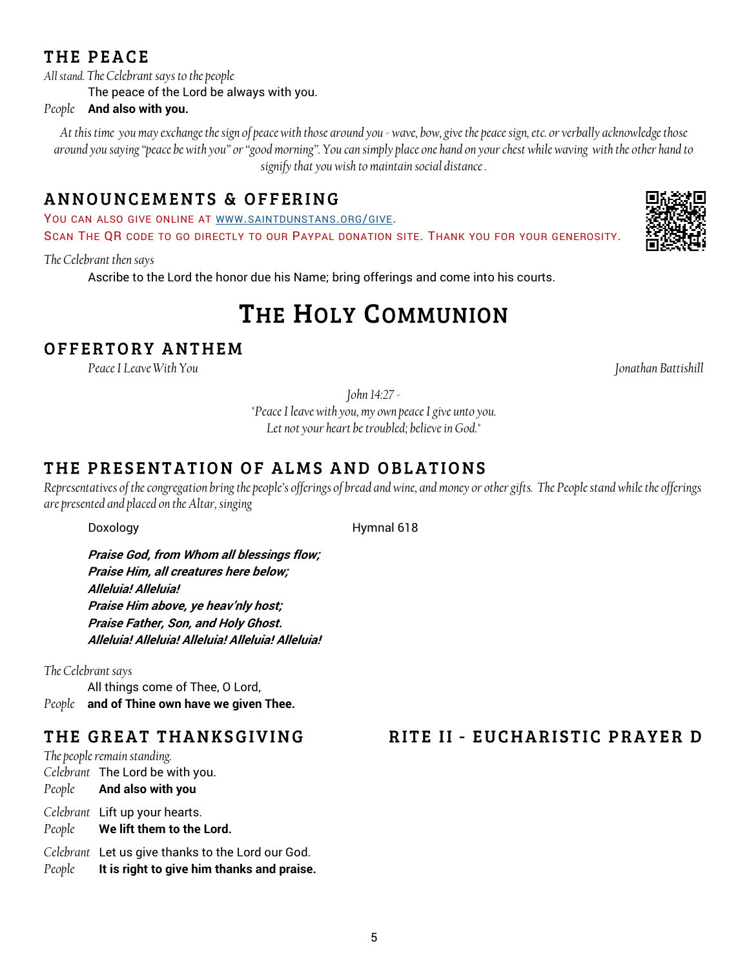# THE PEACE

*All stand. The Celebrant says to the people*

The peace of the Lord be always with you.

#### *People* **And also with you.**

*At this time you may exchange the sign of peace with those around you - wave, bow, give the peace sign, etc. or verbally acknowledge those around you saying "peace be with you" or "good morning". You can simply place one hand on your chest while waving with the other hand to signify that you wish to maintain social distance .*

# ANNOUNCEMENTS & OFFERING

YOU CAN ALSO GIVE ONLINE AT WWW.[SAINTDUNSTANS](http://www.saintdunstans.org/give).ORG/GIVE.

SCAN THE QR CODE TO GO DIRECTLY TO OUR PAYPAL DONATION SITE. THANK YOU FOR YOUR GENEROSITY.

#### *The Celebrant then says*

Ascribe to the Lord the honor due his Name; bring offerings and come into his courts.

# THE HOLY COMMUNION

# OFFERTORY ANTHEM

*Peace I Leave With You Jonathan Battishill*

*John 14:27 -*

*"Peace I leave with you, my own peace I give unto you. Let not your heart be troubled; believe in God."* 

# THE PRESENTATION OF ALMS AND OBLATIONS

*Representatives of the congregation bring the people's offerings of bread and wine, and money or other gifts. The People stand while the offerings are presented and placed on the Altar, singing*

Doxology Hymnal 618

**Praise God, from Whom all blessings flow; Praise Him, all creatures here below; Alleluia! Alleluia! Praise Him above, ye heav'nly host; Praise Father, Son, and Holy Ghost. Alleluia! Alleluia! Alleluia! Alleluia! Alleluia!**

*The Celebrant says* All things come of Thee, O Lord, *People* **and of Thine own have we given Thee.** 

# THE GREAT THANKSGIVING

*The people remain standing. Celebrant* The Lord be with you. *People* **And also with you** *Celebrant* Lift up your hearts. *People* **We lift them to the Lord.**

*Celebrant* Let us give thanks to the Lord our God. *People* **It is right to give him thanks and praise.**

# RITE II - EUCHARISTIC PRAYER D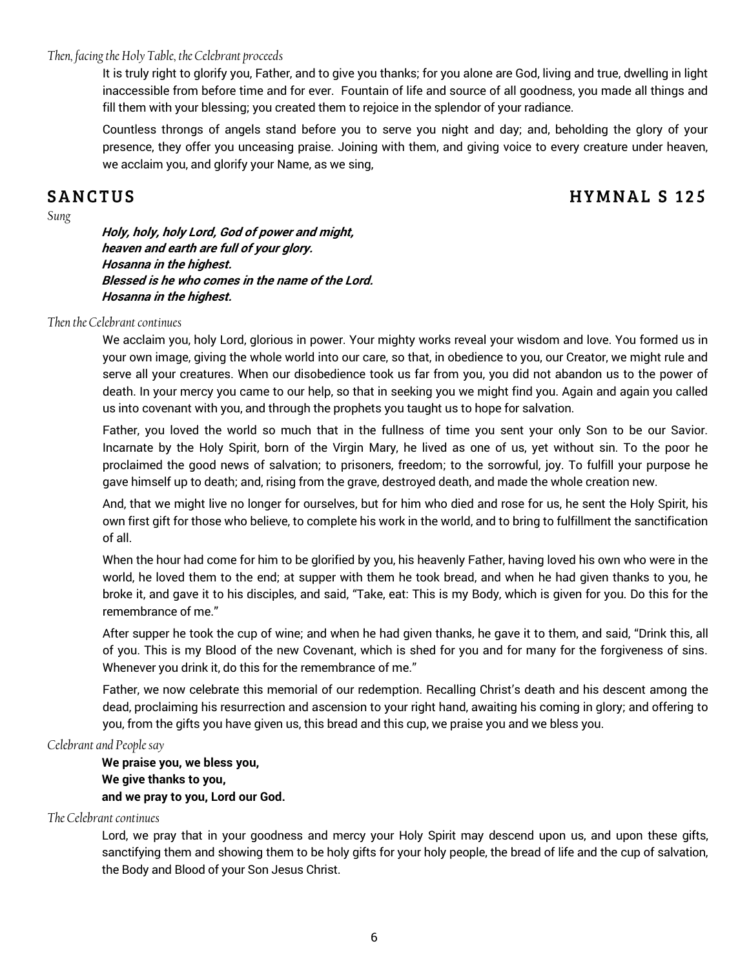#### *Then, facing the Holy Table, the Celebrant proceeds*

It is truly right to glorify you, Father, and to give you thanks; for you alone are God, living and true, dwelling in light inaccessible from before time and for ever. Fountain of life and source of all goodness, you made all things and fill them with your blessing; you created them to rejoice in the splendor of your radiance.

Countless throngs of angels stand before you to serve you night and day; and, beholding the glory of your presence, they offer you unceasing praise. Joining with them, and giving voice to every creature under heaven, we acclaim you, and glorify your Name, as we sing,

### **SANCTUS**

# **HYMNAL S 125**

*Sung*

**Holy, holy, holy Lord, God of power and might, heaven and earth are full of your glory. Hosanna in the highest. Blessed is he who comes in the name of the Lord. Hosanna in the highest.**

#### *Then the Celebrant continues*

We acclaim you, holy Lord, glorious in power. Your mighty works reveal your wisdom and love. You formed us in your own image, giving the whole world into our care, so that, in obedience to you, our Creator, we might rule and serve all your creatures. When our disobedience took us far from you, you did not abandon us to the power of death. In your mercy you came to our help, so that in seeking you we might find you. Again and again you called us into covenant with you, and through the prophets you taught us to hope for salvation.

Father, you loved the world so much that in the fullness of time you sent your only Son to be our Savior. Incarnate by the Holy Spirit, born of the Virgin Mary, he lived as one of us, yet without sin. To the poor he proclaimed the good news of salvation; to prisoners, freedom; to the sorrowful, joy. To fulfill your purpose he gave himself up to death; and, rising from the grave, destroyed death, and made the whole creation new.

And, that we might live no longer for ourselves, but for him who died and rose for us, he sent the Holy Spirit, his own first gift for those who believe, to complete his work in the world, and to bring to fulfillment the sanctification of all.

When the hour had come for him to be glorified by you, his heavenly Father, having loved his own who were in the world, he loved them to the end; at supper with them he took bread, and when he had given thanks to you, he broke it, and gave it to his disciples, and said, "Take, eat: This is my Body, which is given for you. Do this for the remembrance of me."

After supper he took the cup of wine; and when he had given thanks, he gave it to them, and said, "Drink this, all of you. This is my Blood of the new Covenant, which is shed for you and for many for the forgiveness of sins. Whenever you drink it, do this for the remembrance of me."

Father, we now celebrate this memorial of our redemption. Recalling Christ's death and his descent among the dead, proclaiming his resurrection and ascension to your right hand, awaiting his coming in glory; and offering to you, from the gifts you have given us, this bread and this cup, we praise you and we bless you.

#### *Celebrant and People say*

**We praise you, we bless you, We give thanks to you, and we pray to you, Lord our God.**

#### *The Celebrant continues*

Lord, we pray that in your goodness and mercy your Holy Spirit may descend upon us, and upon these gifts, sanctifying them and showing them to be holy gifts for your holy people, the bread of life and the cup of salvation, the Body and Blood of your Son Jesus Christ.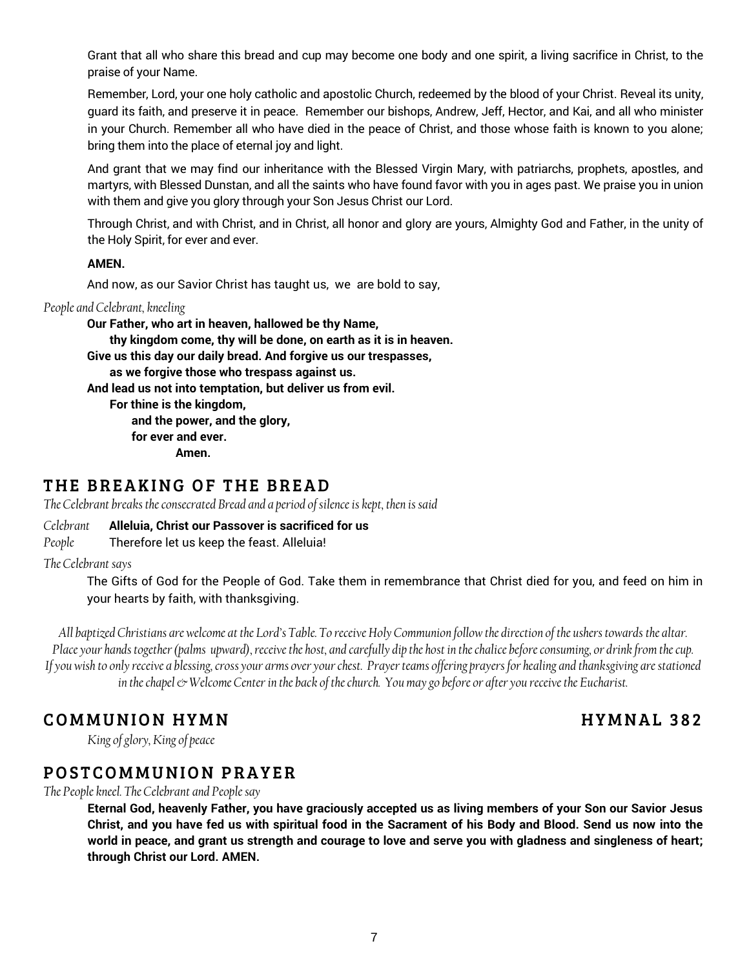Grant that all who share this bread and cup may become one body and one spirit, a living sacrifice in Christ, to the praise of your Name.

Remember, Lord, your one holy catholic and apostolic Church, redeemed by the blood of your Christ. Reveal its unity, guard its faith, and preserve it in peace. Remember our bishops, Andrew, Jeff, Hector, and Kai, and all who minister in your Church. Remember all who have died in the peace of Christ, and those whose faith is known to you alone; bring them into the place of eternal joy and light.

And grant that we may find our inheritance with the Blessed Virgin Mary, with patriarchs, prophets, apostles, and martyrs, with Blessed Dunstan, and all the saints who have found favor with you in ages past. We praise you in union with them and give you glory through your Son Jesus Christ our Lord.

Through Christ, and with Christ, and in Christ, all honor and glory are yours, Almighty God and Father, in the unity of the Holy Spirit, for ever and ever.

#### **AMEN.**

And now, as our Savior Christ has taught us, we are bold to say,

#### *People and Celebrant, kneeling*

**Our Father, who art in heaven, hallowed be thy Name, thy kingdom come, thy will be done, on earth as it is in heaven. Give us this day our daily bread. And forgive us our trespasses, as we forgive those who trespass against us. And lead us not into temptation, but deliver us from evil. For thine is the kingdom, and the power, and the glory, for ever and ever. Amen.**

# THE BREAKING OF THE BREAD

*The Celebrant breaks the consecrated Bread and a period of silence is kept, then is said*

*Celebrant* **Alleluia, Christ our Passover is sacrificed for us**

*People* Therefore let us keep the feast. Alleluia!

*The Celebrant says*

The Gifts of God for the People of God. Take them in remembrance that Christ died for you, and feed on him in your hearts by faith, with thanksgiving.

*All baptized Christians are welcome at the Lord's Table. To receive Holy Communion follow the direction of the ushers towards the altar. Place your hands together (palms upward), receive the host, and carefully dip the host in the chalice before consuming, or drink from the cup. If you wish to only receive a blessing, cross your arms over your chest. Prayer teams offering prayers for healing and thanksgiving are stationed in the chapel*  $\odot$  *Welcome Center in the back of the church. You may go before or after you receive the Eucharist.* 

# **COMMUNION HYMN**

# **HYMNAL 382**

*King of glory, King of peace* 

# POSTCOMMUNION PRAYER

*The People kneel. The Celebrant and People say*

**Eternal God, heavenly Father, you have graciously accepted us as living members of your Son our Savior Jesus Christ, and you have fed us with spiritual food in the Sacrament of his Body and Blood. Send us now into the world in peace, and grant us strength and courage to love and serve you with gladness and singleness of heart; through Christ our Lord. AMEN.**